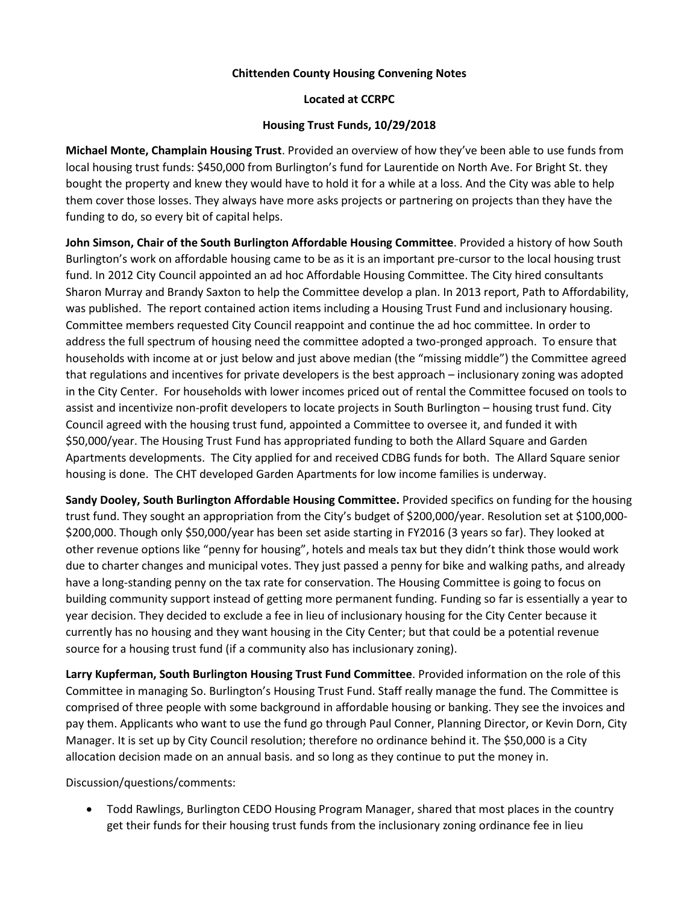## **Chittenden County Housing Convening Notes**

## **Located at CCRPC**

## **Housing Trust Funds, 10/29/2018**

**Michael Monte, Champlain Housing Trust**. Provided an overview of how they've been able to use funds from local housing trust funds: \$450,000 from Burlington's fund for Laurentide on North Ave. For Bright St. they bought the property and knew they would have to hold it for a while at a loss. And the City was able to help them cover those losses. They always have more asks projects or partnering on projects than they have the funding to do, so every bit of capital helps.

**John Simson, Chair of the South Burlington Affordable Housing Committee**. Provided a history of how South Burlington's work on affordable housing came to be as it is an important pre-cursor to the local housing trust fund. In 2012 City Council appointed an ad hoc Affordable Housing Committee. The City hired consultants Sharon Murray and Brandy Saxton to help the Committee develop a plan. In 2013 report, Path to Affordability, was published. The report contained action items including a Housing Trust Fund and inclusionary housing. Committee members requested City Council reappoint and continue the ad hoc committee. In order to address the full spectrum of housing need the committee adopted a two-pronged approach. To ensure that households with income at or just below and just above median (the "missing middle") the Committee agreed that regulations and incentives for private developers is the best approach – inclusionary zoning was adopted in the City Center. For households with lower incomes priced out of rental the Committee focused on tools to assist and incentivize non-profit developers to locate projects in South Burlington – housing trust fund. City Council agreed with the housing trust fund, appointed a Committee to oversee it, and funded it with \$50,000/year. The Housing Trust Fund has appropriated funding to both the Allard Square and Garden Apartments developments. The City applied for and received CDBG funds for both. The Allard Square senior housing is done. The CHT developed Garden Apartments for low income families is underway.

**Sandy Dooley, South Burlington Affordable Housing Committee.** Provided specifics on funding for the housing trust fund. They sought an appropriation from the City's budget of \$200,000/year. Resolution set at \$100,000- \$200,000. Though only \$50,000/year has been set aside starting in FY2016 (3 years so far). They looked at other revenue options like "penny for housing", hotels and meals tax but they didn't think those would work due to charter changes and municipal votes. They just passed a penny for bike and walking paths, and already have a long-standing penny on the tax rate for conservation. The Housing Committee is going to focus on building community support instead of getting more permanent funding. Funding so far is essentially a year to year decision. They decided to exclude a fee in lieu of inclusionary housing for the City Center because it currently has no housing and they want housing in the City Center; but that could be a potential revenue source for a housing trust fund (if a community also has inclusionary zoning).

**Larry Kupferman, South Burlington Housing Trust Fund Committee**. Provided information on the role of this Committee in managing So. Burlington's Housing Trust Fund. Staff really manage the fund. The Committee is comprised of three people with some background in affordable housing or banking. They see the invoices and pay them. Applicants who want to use the fund go through Paul Conner, Planning Director, or Kevin Dorn, City Manager. It is set up by City Council resolution; therefore no ordinance behind it. The \$50,000 is a City allocation decision made on an annual basis. and so long as they continue to put the money in.

Discussion/questions/comments:

• Todd Rawlings, Burlington CEDO Housing Program Manager, shared that most places in the country get their funds for their housing trust funds from the inclusionary zoning ordinance fee in lieu